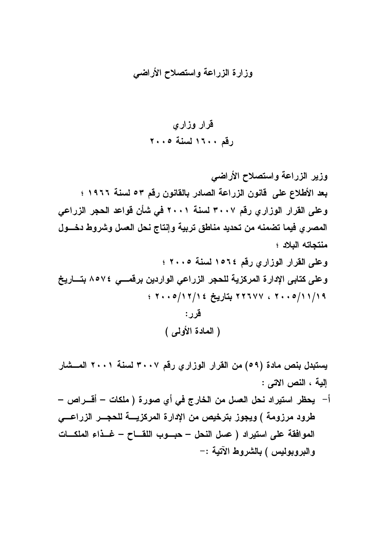## وزارة الزراعة واستصلاح الأراضى

وزير الزراعة واستصلاح الأراضي بعد الأطلاع على قانون الزراعة الصادر بالقانون رقم ٥٣ لسنة ١٩٦٦ ؛ وعلى القرار الوزاري رقم ٣٠٠٧ لسنة ٢٠٠١ في شأن قواعد الحجر الزراعي المصرى فيما تضمنه من تحديد مناطق تربية وإنتاج نحل العسل وشروط دخسول منتحاته البلاد ؛

(المعادة الأولى)

يستبدل بنص مادة (٥٩) من القرار الوزاري رقم ٣٠٠٧ لسنة ٢٠٠١ المــشار إلية ، النص الاتى :

أ – يحظر استيراد نحل العسل من الخارج في أي صورة ( ملكات – أقــــراص – طرود مرزومة ) ويجوز بترخيص من الإدارة المركزيسة للحجس الزراعسي الموافقة على استيراد ( عسل النحل – حبسوب اللقساح – غسذاء الملكسات والبروبوليس ) بالشروط الآتية :-